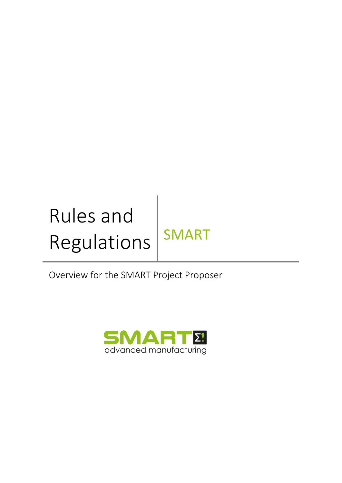# Rules and Regulations | SMART

Overview for the SMART Project Proposer

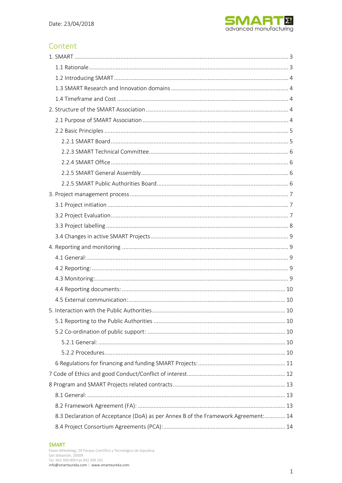

# Content

| 8.3 Declaration of Acceptance (DoA) as per Annex B of the Framework Agreement: 14 |
|-----------------------------------------------------------------------------------|
|                                                                                   |

#### **SMART**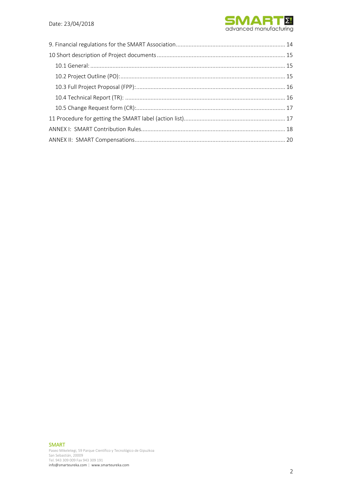

#### SMART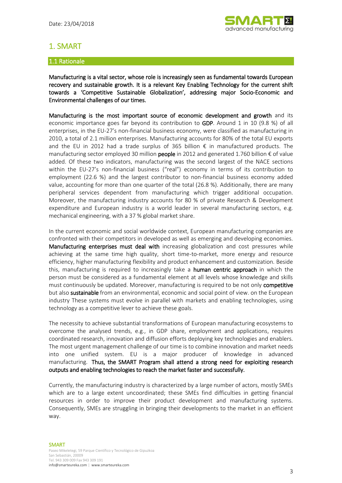

# 1. SMART

## 1.1 Rationale

Manufacturing is a vital sector, whose role is increasingly seen as fundamental towards European recovery and sustainable growth. It is a relevant Key Enabling Technology for the current shift towards a 'Competitive Sustainable Globalization', addressing major Socio-Economic and Environmental challenges of our times.

Manufacturing is the most important source of economic development and growth and its economic importance goes far beyond its contribution to GDP. Around 1 in 10 (9.8 %) of all enterprises, in the EU-27's non-financial business economy, were classified as manufacturing in 2010, a total of 2.1 million enterprises. Manufacturing accounts for 80% of the total EU exports and the EU in 2012 had a trade surplus of 365 billion  $\epsilon$  in manufactured products. The manufacturing sector employed 30 million **people** in 2012 and generated 1.760 billion  $\epsilon$  of value added. Of these two indicators, manufacturing was the second largest of the NACE sections within the EU-27's non-financial business ("real") economy in terms of its contribution to employment (22.6 %) and the largest contributor to non-financial business economy added value, accounting for more than one quarter of the total (26.8 %). Additionally, there are many peripheral services dependent from manufacturing which trigger additional occupation. Moreover, the manufacturing industry accounts for 80 % of private Research & Development expenditure and European industry is a world leader in several manufacturing sectors, e.g. mechanical engineering, with a 37 % global market share.

In the current economic and social worldwide context, European manufacturing companies are confronted with their competitors in developed as well as emerging and developing economies. Manufacturing enterprises must deal with increasing globalization and cost pressures while achieving at the same time high quality, short time-to-market, more energy and resource efficiency, higher manufacturing flexibility and product enhancement and customization. Beside this, manufacturing is required to increasingly take a human centric approach in which the person must be considered as a fundamental element at all levels whose knowledge and skills must continuously be updated. Moreover, manufacturing is required to be not only competitive but also **sustainable** from an environmental, economic and social point of view, on the European industry These systems must evolve in parallel with markets and enabling technologies, using technology as a competitive lever to achieve these goals.

The necessity to achieve substantial transformations of European manufacturing ecosystems to overcome the analysed trends, e.g., in GDP share, employment and applications, requires coordinated research, innovation and diffusion efforts deploying key technologies and enablers. The most urgent management challenge of our time is to combine innovation and market needs into one unified system. EU is a major producer of knowledge in advanced manufacturing. Thus, the SMART Program shall attend a strong need for exploiting research outputs and enabling technologies to reach the market faster and successfully.

Currently, the manufacturing industry is characterized by a large number of actors, mostly SMEs which are to a large extent uncoordinated; these SMEs find difficulties in getting financial resources in order to improve their product development and manufacturing systems. Consequently, SMEs are struggling in bringing their developments to the market in an efficient way.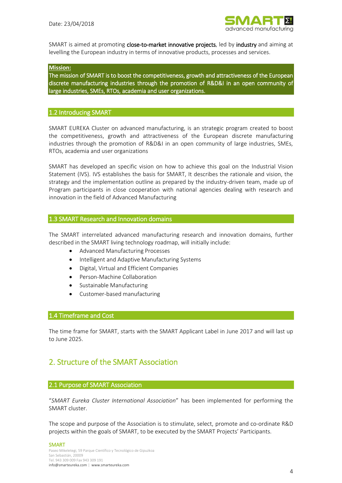

SMART is aimed at promoting close-to-market innovative projects, led by industry and aiming at levelling the European industry in terms of innovative products, processes and services.

#### **Mission:**

The mission of SMART is to boost the competitiveness, growth and attractiveness of the European discrete manufacturing industries through the promotion of R&D&I in an open community of large industries, SMEs, RTOs, academia and user organizations.

#### 1.2 Introducing SMART

SMART EUREKA Cluster on advanced manufacturing, is an strategic program created to boost the competitiveness, growth and attractiveness of the European discrete manufacturing industries through the promotion of R&D&I in an open community of large industries, SMEs, RTOs, academia and user organizations

SMART has developed an specific vision on how to achieve this goal on the Industrial Vision Statement (IVS). IVS establishes the basis for SMART, It describes the rationale and vision, the strategy and the implementation outline as prepared by the industry-driven team, made up of Program participants in close cooperation with national agencies dealing with research and innovation in the field of Advanced Manufacturing

#### 1.3 SMART Research and Innovation domains

The SMART interrelated advanced manufacturing research and innovation domains, further described in the SMART living technology roadmap, will initially include:

- Advanced Manufacturing Processes
- Intelligent and Adaptive Manufacturing Systems
- Digital, Virtual and Efficient Companies
- Person-Machine Collaboration
- Sustainable Manufacturing
- Customer-based manufacturing

#### 1.4 Timeframe and Cost

The time frame for SMART, starts with the SMART Applicant Label in June 2017 and will last up to June 2025.

# 2. Structure of the SMART Association

#### 2.1 Purpose of SMART Association

"*SMART Eureka Cluster International Association*" has been implemented for performing the SMART cluster.

The scope and purpose of the Association is to stimulate, select, promote and co-ordinate R&D projects within the goals of SMART, to be executed by the SMART Projects' Participants.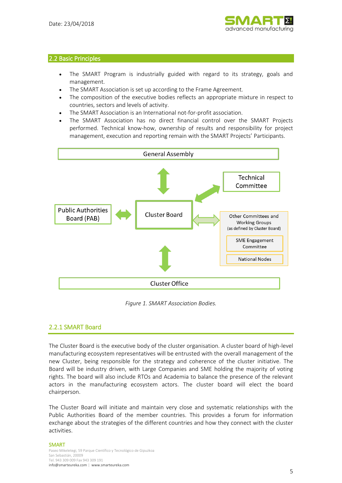

#### 2.2 Basic Principles

- The SMART Program is industrially guided with regard to its strategy, goals and management.
- The SMART Association is set up according to the Frame Agreement.
- The composition of the executive bodies reflects an appropriate mixture in respect to countries, sectors and levels of activity.
- The SMART Association is an International not-for-profit association.
- The SMART Association has no direct financial control over the SMART Projects performed. Technical know-how, ownership of results and responsibility for project management, execution and reporting remain with the SMART Projects' Participants.



*Figure 1. SMART Association Bodies.*

## 2.2.1 SMART Board

The Cluster Board is the executive body of the cluster organisation. A cluster board of high-level manufacturing ecosystem representatives will be entrusted with the overall management of the new Cluster, being responsible for the strategy and coherence of the cluster initiative. The Board will be industry driven, with Large Companies and SME holding the majority of voting rights. The board will also include RTOs and Academia to balance the presence of the relevant actors in the manufacturing ecosystem actors. The cluster board will elect the board chairperson.

The Cluster Board will initiate and maintain very close and systematic relationships with the Public Authorities Board of the member countries. This provides a forum for information exchange about the strategies of the different countries and how they connect with the cluster activities.

#### SMART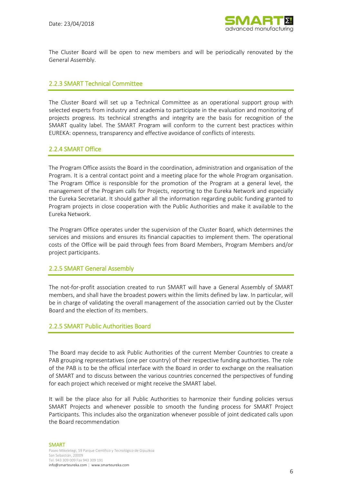

The Cluster Board will be open to new members and will be periodically renovated by the General Assembly.

## 2.2.3 SMART Technical Committee

The Cluster Board will set up a Technical Committee as an operational support group with selected experts from industry and academia to participate in the evaluation and monitoring of projects progress. Its technical strengths and integrity are the basis for recognition of the SMART quality label. The SMART Program will conform to the current best practices within EUREKA: openness, transparency and effective avoidance of conflicts of interests.

## 2.2.4 SMART Office

The Program Office assists the Board in the coordination, administration and organisation of the Program. It is a central contact point and a meeting place for the whole Program organisation. The Program Office is responsible for the promotion of the Program at a general level, the management of the Program calls for Projects, reporting to the Eureka Network and especially the Eureka Secretariat. It should gather all the information regarding public funding granted to Program projects in close cooperation with the Public Authorities and make it available to the Eureka Network.

The Program Office operates under the supervision of the Cluster Board, which determines the services and missions and ensures its financial capacities to implement them. The operational costs of the Office will be paid through fees from Board Members, Program Members and/or project participants.

## 2.2.5 SMART General Assembly

The not-for-profit association created to run SMART will have a General Assembly of SMART members, and shall have the broadest powers within the limits defined by law. In particular, will be in charge of validating the overall management of the association carried out by the Cluster Board and the election of its members.

## 2.2.5 SMART Public Authorities Board

The Board may decide to ask Public Authorities of the current Member Countries to create a PAB grouping representatives (one per country) of their respective funding authorities. The role of the PAB is to be the official interface with the Board in order to exchange on the realisation of SMART and to discuss between the various countries concerned the perspectives of funding for each project which received or might receive the SMART label.

It will be the place also for all Public Authorities to harmonize their funding policies versus SMART Projects and whenever possible to smooth the funding process for SMART Project Participants. This includes also the organization whenever possible of joint dedicated calls upon the Board recommendation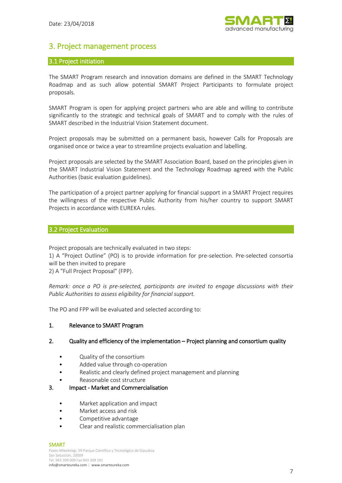

# 3. Project management process

#### 3.1 Project initiation

The SMART Program research and innovation domains are defined in the SMART Technology Roadmap and as such allow potential SMART Project Participants to formulate project proposals.

SMART Program is open for applying project partners who are able and willing to contribute significantly to the strategic and technical goals of SMART and to comply with the rules of SMART described in the Industrial Vision Statement document.

Project proposals may be submitted on a permanent basis, however Calls for Proposals are organised once or twice a year to streamline projects evaluation and labelling.

Project proposals are selected by the SMART Association Board, based on the principles given in the SMART Industrial Vision Statement and the Technology Roadmap agreed with the Public Authorities (basic evaluation guidelines).

The participation of a project partner applying for financial support in a SMART Project requires the willingness of the respective Public Authority from his/her country to support SMART Projects in accordance with EUREKA rules.

#### 3.2 Project Evaluation

Project proposals are technically evaluated in two steps:

1) A "Project Outline" (PO) is to provide information for pre-selection. Pre-selected consortia will be then invited to prepare

2) A "Full Project Proposal" (FPP).

*Remark: once a PO is pre-selected, participants are invited to engage discussions with their Public Authorities to assess eligibility for financial support.*

The PO and FPP will be evaluated and selected according to:

#### 1. Relevance to SMART Program

#### 2. Quality and efficiency of the implementation – Project planning and consortium quality

- Quality of the consortium
- Added value through co-operation
- Realistic and clearly defined project management and planning
- Reasonable cost structure

#### 3. Impact - Market and Commercialisation

- Market application and impact
- Market access and risk
- Competitive advantage
- Clear and realistic commercialisation plan

#### SMART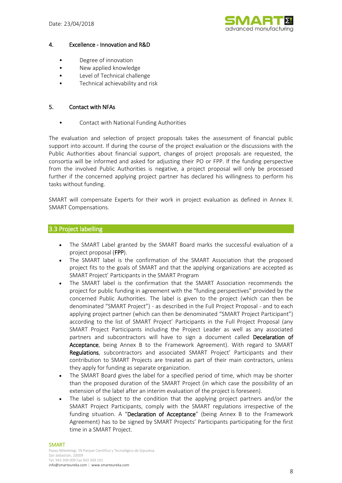

#### 4. Excellence - Innovation and R&D

- Degree of innovation
- New applied knowledge
- Level of Technical challenge
- Technical achievability and risk

#### 5. Contact with NFAs

• Contact with National Funding Authorities

The evaluation and selection of project proposals takes the assessment of financial public support into account. If during the course of the project evaluation or the discussions with the Public Authorities about financial support, changes of project proposals are requested, the consortia will be informed and asked for adjusting their PO or FPP. If the funding perspective from the involved Public Authorities is negative, a project proposal will only be processed further if the concerned applying project partner has declared his willingness to perform his tasks without funding.

SMART will compensate Experts for their work in project evaluation as defined in Annex II. SMART Compensations.

## 3.3 Project labelling

- The SMART Label granted by the SMART Board marks the successful evaluation of a project proposal (FPP).
- The SMART label is the confirmation of the SMART Association that the proposed project fits to the goals of SMART and that the applying organizations are accepted as SMART Project' Participants in the SMART Program
- The SMART label is the confirmation that the SMART Association recommends the project for public funding in agreement with the "funding perspectives" provided by the concerned Public Authorities. The label is given to the project (which can then be denominated "SMART Project") - as described in the Full Project Proposal - and to each applying project partner (which can then be denominated "SMART Project Participant") according to the list of SMART Project' Participants in the Full Project Proposal (any SMART Project Participants including the Project Leader as well as any associated partners and subcontractors will have to sign a document called Decelaration of Acceptance, being Annex B to the Framework Agreement). With regard to SMART Regulations, subcontractors and associated SMART Project' Participants and their contribution to SMART Projects are treated as part of their main contractors, unless they apply for funding as separate organization.
- The SMART Board gives the label for a specified period of time, which may be shorter than the proposed duration of the SMART Project (in which case the possibility of an extension of the label after an interim evaluation of the project is foreseen).
- The label is subject to the condition that the applying project partners and/or the SMART Project Participants, comply with the SMART regulations irrespective of the funding situation. A "Declaration of Acceptance" (being Annex B to the Framework Agreement) has to be signed by SMART Projects' Participants participating for the first time in a SMART Project.

#### **SMART**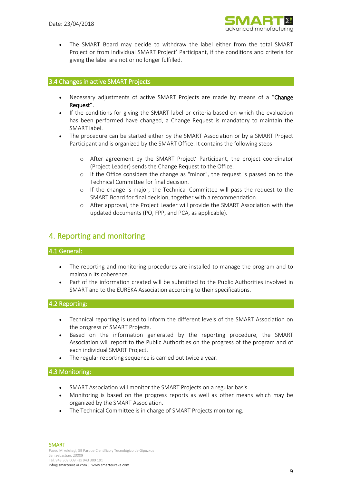

• The SMART Board may decide to withdraw the label either from the total SMART Project or from individual SMART Project' Participant, if the conditions and criteria for giving the label are not or no longer fulfilled.

#### 3.4 Changes in active SMART Projects

- Necessary adjustments of active SMART Projects are made by means of a "Change Request".
- If the conditions for giving the SMART label or criteria based on which the evaluation has been performed have changed, a Change Request is mandatory to maintain the SMART label.
- The procedure can be started either by the SMART Association or by a SMART Project Participant and is organized by the SMART Office. It contains the following steps:
	- o After agreement by the SMART Project' Participant, the project coordinator (Project Leader) sends the Change Request to the Office.
	- o If the Office considers the change as "minor", the request is passed on to the Technical Committee for final decision.
	- o If the change is major, the Technical Committee will pass the request to the SMART Board for final decision, together with a recommendation.
	- o After approval, the Project Leader will provide the SMART Association with the updated documents (PO, FPP, and PCA, as applicable).

# 4. Reporting and monitoring

#### 4.1 General:

- The reporting and monitoring procedures are installed to manage the program and to maintain its coherence.
- Part of the information created will be submitted to the Public Authorities involved in SMART and to the EUREKA Association according to their specifications.

#### 4.2 Reporting:

- Technical reporting is used to inform the different levels of the SMART Association on the progress of SMART Projects.
- Based on the information generated by the reporting procedure, the SMART Association will report to the Public Authorities on the progress of the program and of each individual SMART Project.
- The regular reporting sequence is carried out twice a year.

## 4.3 Monitoring:

- SMART Association will monitor the SMART Projects on a regular basis.
- Monitoring is based on the progress reports as well as other means which may be organized by the SMART Association.
- The Technical Committee is in charge of SMART Projects monitoring.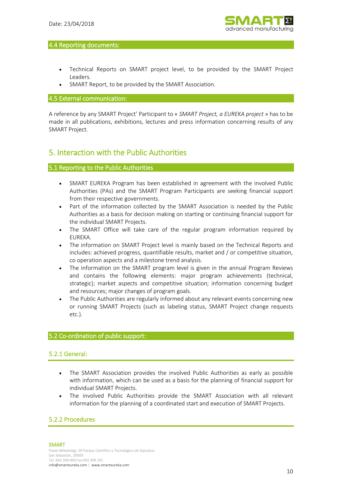

#### 4.4 Reporting documents:

- Technical Reports on SMART project level, to be provided by the SMART Project Leaders.
- SMART Report, to be provided by the SMART Association.

#### 4.5 External communication:

A reference by any SMART Project' Participant to « *SMART Project, a EUREKA project* » has to be made in all publications, exhibitions, lectures and press information concerning results of any SMART Project.

# 5. Interaction with the Public Authorities

## 5.1 Reporting to the Public Authorities

- SMART EUREKA Program has been established in agreement with the involved Public Authorities (PAs) and the SMART Program Participants are seeking financial support from their respective governments.
- Part of the information collected by the SMART Association is needed by the Public Authorities as a basis for decision making on starting or continuing financial support for the individual SMART Projects.
- The SMART Office will take care of the regular program information required by EUREKA.
- The information on SMART Project level is mainly based on the Technical Reports and includes: achieved progress, quantifiable results, market and / or competitive situation, co operation aspects and a milestone trend analysis.
- The information on the SMART program level is given in the annual Program Reviews and contains the following elements: major program achievements (technical, strategic); market aspects and competitive situation; information concerning budget and resources; major changes of program goals.
- The Public Authorities are regularly informed about any relevant events concerning new or running SMART Projects (such as labeling status, SMART Project change requests etc.).

## 5.2 Co-ordination of public support:

## 5.2.1 General:

- The SMART Association provides the involved Public Authorities as early as possible with information, which can be used as a basis for the planning of financial support for individual SMART Projects.
- The involved Public Authorities provide the SMART Association with all relevant information for the planning of a coordinated start and execution of SMART Projects.

## 5.2.2 Procedures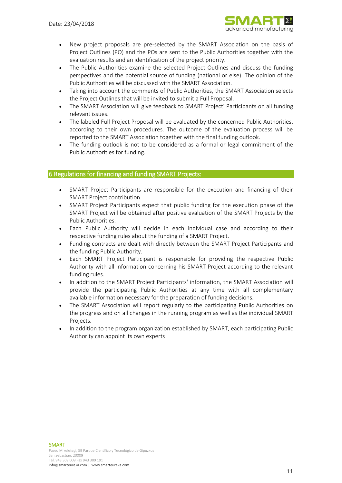

- New project proposals are pre-selected by the SMART Association on the basis of Project Outlines (PO) and the POs are sent to the Public Authorities together with the evaluation results and an identification of the project priority.
- The Public Authorities examine the selected Project Outlines and discuss the funding perspectives and the potential source of funding (national or else). The opinion of the Public Authorities will be discussed with the SMART Association.
- Taking into account the comments of Public Authorities, the SMART Association selects the Project Outlines that will be invited to submit a Full Proposal.
- The SMART Association will give feedback to SMART Project' Participants on all funding relevant issues.
- The labeled Full Project Proposal will be evaluated by the concerned Public Authorities, according to their own procedures. The outcome of the evaluation process will be reported to the SMART Association together with the final funding outlook.
- The funding outlook is not to be considered as a formal or legal commitment of the Public Authorities for funding.

#### 6 Regulations for financing and funding SMART Projects:

- SMART Project Participants are responsible for the execution and financing of their SMART Project contribution.
- SMART Project Participants expect that public funding for the execution phase of the SMART Project will be obtained after positive evaluation of the SMART Projects by the Public Authorities.
- Each Public Authority will decide in each individual case and according to their respective funding rules about the funding of a SMART Project.
- Funding contracts are dealt with directly between the SMART Project Participants and the funding Public Authority.
- Each SMART Project Participant is responsible for providing the respective Public Authority with all information concerning his SMART Project according to the relevant funding rules.
- In addition to the SMART Project Participants' information, the SMART Association will provide the participating Public Authorities at any time with all complementary available information necessary for the preparation of funding decisions.
- The SMART Association will report regularly to the participating Public Authorities on the progress and on all changes in the running program as well as the individual SMART Projects.
- In addition to the program organization established by SMART, each participating Public Authority can appoint its own experts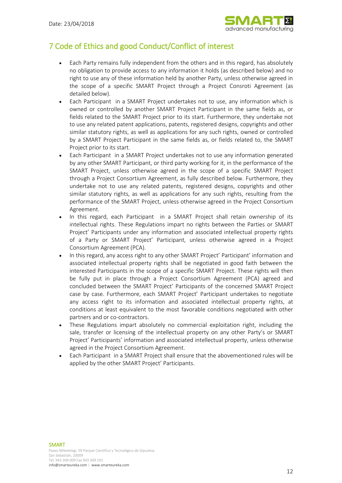

# 7 Code of Ethics and good Conduct/Conflict of interest

- Each Party remains fully independent from the others and in this regard, has absolutely no obligation to provide access to any information it holds (as described below) and no right to use any of these information held by another Party, unless otherwise agreed in the scope of a specific SMART Project through a Project Consroti Agreement (as detailed below).
- Each Participant in a SMART Project undertakes not to use, any information which is owned or controlled by another SMART Project Participant in the same fields as, or fields related to the SMART Project prior to its start. Furthermore, they undertake not to use any related patent applications, patents, registered designs, copyrights and other similar statutory rights, as well as applications for any such rights, owned or controlled by a SMART Project Participant in the same fields as, or fields related to, the SMART Project prior to its start.
- Each Participant in a SMART Project undertakes not to use any information generated by any other SMART Participant, or third party working for it, in the performance of the SMART Project, unless otherwise agreed in the scope of a specific SMART Project through a Project Consortium Agreement, as fully described below. Furthermore, they undertake not to use any related patents, registered designs, copyrights and other similar statutory rights, as well as applications for any such rights, resulting from the performance of the SMART Project, unless otherwise agreed in the Project Consortium Agreement.
- In this regard, each Participant in a SMART Project shall retain ownership of its intellectual rights. These Regulations impart no rights between the Parties or SMART Project' Participants under any information and associated intellectual property rights of a Party or SMART Project' Participant, unless otherwise agreed in a Project Consortium Agreement (PCA).
- In this regard, any access right to any other SMART Project' Participant' information and associated intellectual property rights shall be negotiated in good faith between the interested Participants in the scope of a specific SMART Project. These rights will then be fully put in place through a Project Consortium Agreement (PCA) agreed and concluded between the SMART Project' Participants of the concerned SMART Project case by case. Furthermore, each SMART Project' Participant undertakes to negotiate any access right to its information and associated intellectual property rights, at conditions at least equivalent to the most favorable conditions negotiated with other partners and or co-contractors.
- These Regulations impart absolutely no commercial exploitation right, including the sale, transfer or licensing of the intellectual property on any other Party's or SMART Project' Participants' information and associated intellectual property, unless otherwise agreed in the Project Consortium Agreement.
- Each Participant in a SMART Project shall ensure that the abovementioned rules will be applied by the other SMART Project' Participants.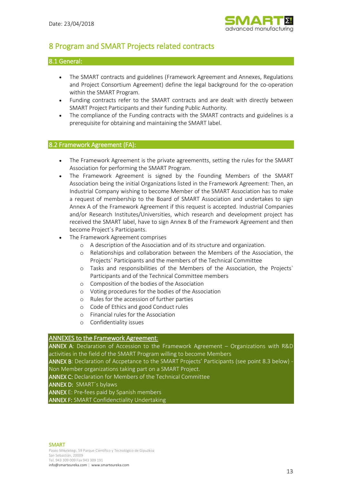

# 8 Program and SMART Projects related contracts

#### 8.1 General:

- The SMART contracts and guidelines (Framework Agreement and Annexes, Regulations and Project Consortium Agreement) define the legal background for the co-operation within the SMART Program.
- Funding contracts refer to the SMART contracts and are dealt with directly between SMART Project Participants and their funding Public Authority.
- The compliance of the Funding contracts with the SMART contracts and guidelines is a prerequisite for obtaining and maintaining the SMART label.

#### 8.2 Framework Agreement (FA):

- The Framework Agreement is the private agreementts, setting the rules for the SMART Association for performing the SMART Program.
- The Framework Agreement is signed by the Founding Members of the SMART Association being the initial Organizations listed in the Framework Agreement: Then, an Industrial Company wishing to become Member of the SMART Association has to make a request of membership to the Board of SMART Association and undertakes to sign Annex A of the Framework Agreement if this request is accepted. Industrial Companies and/or Research Institutes/Universities, which research and development project has received the SMART label, have to sign Annex B of the Framework Agreement and then become Project´s Participants.
- The Framework Agreement comprises
	- o A description of the Association and of its structure and organization.
	- o Relationships and collaboration between the Members of the Association, the Projects´ Participants and the members of the Technical Committee
	- o Tasks and responsibilities of the Members of the Association, the Projects` Participants and of the Technical Committee members
	- o Composition of the bodies of the Association
	- o Voting procedures for the bodies of the Association
	- o Rules for the accession of further parties
	- o Code of Ethics and good Conduct rules
	- o Financial rules for the Association
	- o Confidentiality issues

#### ANNEXES to the Framework Agreement:

ANNEX A: Declaration of Accession to the Framework Agreement – Organizations with R&D activities in the field of the SMART Program willing to become Members

ANNEX B: Declaration of Accpetance to the SMART Projects' Participants (see point 8.3 below) Non Member organizations taking part on a SMART Project.

ANNEX C: Declaration for Members of the Technical Committee

ANNEX D: SMART´s bylaws

ANNEX E: Pre-fees paid by Spanish members

ANNEX F: SMART Confidenctiality Undertaking

#### SMART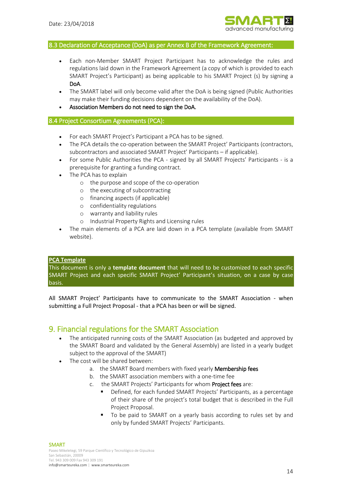

#### 8.3 Declaration of Acceptance (DoA) as per Annex B of the Framework Agreement:

- Each non-Member SMART Project Participant has to acknowledge the rules and regulations laid down in the Framework Agreement (a copy of which is provided to each SMART Project's Participant) as being applicable to his SMART Project (s) by signing a DoA.
- The SMART label will only become valid after the DoA is being signed (Public Authorities may make their funding decisions dependent on the availability of the DoA).
- Association Members do not need to sign the DoA.

#### 8.4 Project Consortium Agreements (PCA):

- For each SMART Project's Participant a PCA has to be signed.
- The PCA details the co-operation between the SMART Project' Participants (contractors, subcontractors and associated SMART Project' Participants – if applicable).
- For some Public Authorities the PCA signed by all SMART Projects' Participants is a prerequisite for granting a funding contract.
- The PCA has to explain
	- o the purpose and scope of the co-operation
	- o the executing of subcontracting
	- o financing aspects (if applicable)
	- o confidentiality regulations
	- o warranty and liability rules
	- o Industrial Property Rights and Licensing rules
- The main elements of a PCA are laid down in a PCA template (available from SMART website).

#### **PCA Template**

This document is only a **template document** that will need to be customized to each specific SMART Project and each specific SMART Project' Participant's situation, on a case by case basis.

All SMART Project' Participants have to communicate to the SMART Association - when submitting a Full Project Proposal - that a PCA has been or will be signed.

## 9. Financial regulations for the SMART Association

- The anticipated running costs of the SMART Association (as budgeted and approved by the SMART Board and validated by the General Assembly) are listed in a yearly budget subject to the approval of the SMART)
- The cost will be shared between:
	- a. the SMART Board members with fixed yearly Membership fees
	- b. the SMART association members with a one-time fee
	- c. the SMART Projects' Participants for whom Project fees are:
		- Defined, for each funded SMART Projects' Participants, as a percentage of their share of the project's total budget that is described in the Full Project Proposal.
		- To be paid to SMART on a yearly basis according to rules set by and only by funded SMART Projects' Participants.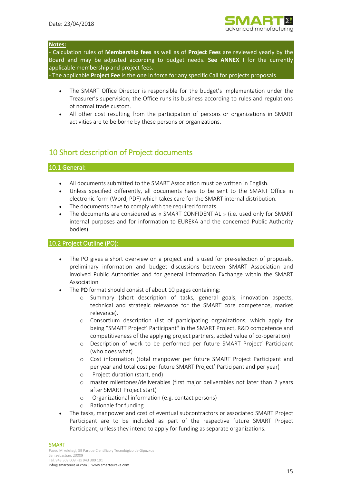

#### **Notes:**

- Calculation rules of **Membership fees** as well as of **Project Fees** are reviewed yearly by the Board and may be adjusted according to budget needs. **See ANNEX I** for the currently applicable membership and project fees.

- The applicable **Project Fee** is the one in force for any specific Call for projects proposals

- The SMART Office Director is responsible for the budget's implementation under the Treasurer's supervision; the Office runs its business according to rules and regulations of normal trade custom.
- All other cost resulting from the participation of persons or organizations in SMART activities are to be borne by these persons or organizations.

# 10 Short description of Project documents

## 10.1 General:

- All documents submitted to the SMART Association must be written in English.
- Unless specified differently, all documents have to be sent to the SMART Office in electronic form (Word, PDF) which takes care for the SMART internal distribution.
- The documents have to comply with the required formats.
- The documents are considered as « SMART CONFIDENTIAL » (i.e. used only for SMART internal purposes and for information to EUREKA and the concerned Public Authority bodies).

#### 10.2 Project Outline (PO):

- The PO gives a short overview on a project and is used for pre-selection of proposals, preliminary information and budget discussions between SMART Association and involved Public Authorities and for general information Exchange within the SMART Association
- The PO format should consist of about 10 pages containing:
	- o Summary (short description of tasks, general goals, innovation aspects, technical and strategic relevance for the SMART core competence, market relevance).
	- o Consortium description (list of participating organizations, which apply for being "SMART Project' Participant" in the SMART Project, R&D competence and competitiveness of the applying project partners, added value of co-operation)
	- o Description of work to be performed per future SMART Project' Participant (who does what)
	- o Cost information (total manpower per future SMART Project Participant and per year and total cost per future SMART Project' Participant and per year)
	- o Project duration (start, end)
	- o master milestones/deliverables (first major deliverables not later than 2 years after SMART Project start)
	- o Organizational information (e.g. contact persons)
	- o Rationale for funding
- The tasks, manpower and cost of eventual subcontractors or associated SMART Project Participant are to be included as part of the respective future SMART Project Participant, unless they intend to apply for funding as separate organizations.

#### SMART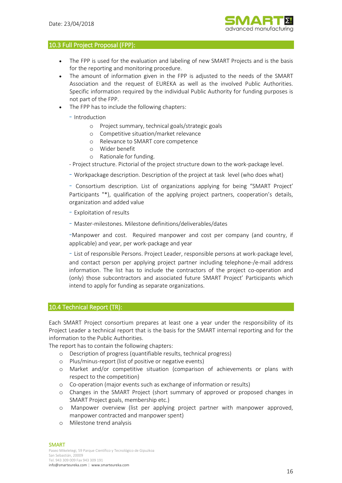

#### 10.3 Full Project Proposal (FPP):

- The FPP is used for the evaluation and labeling of new SMART Projects and is the basis for the reporting and monitoring procedure.
- The amount of information given in the FPP is adjusted to the needs of the SMART Association and the request of EUREKA as well as the involved Public Authorities. Specific information required by the individual Public Authority for funding purposes is not part of the FPP.
- The FPP has to include the following chapters:

- Introduction

- o Project summary, technical goals/strategic goals
- o Competitive situation/market relevance
- o Relevance to SMART core competence
- o Wider benefit
- o Rationale for funding.
- Project structure. Pictorial of the project structure down to the work-package level.
- Workpackage description. Description of the project at task level (who does what)

- Consortium description. List of organizations applying for being "SMART Project' Participants "\*), qualification of the applying project partners, cooperation's details, organization and added value

- Exploitation of results
- Master-milestones. Milestone definitions/deliverables/dates

-Manpower and cost. Required manpower and cost per company (and country, if applicable) and year, per work-package and year

- List of responsible Persons. Project Leader, responsible persons at work-package level, and contact person per applying project partner including telephone-/e-mail address information. The list has to include the contractors of the project co-operation and (only) those subcontractors and associated future SMART Project' Participants which intend to apply for funding as separate organizations.

#### 10.4 Technical Report (TR):

Each SMART Project consortium prepares at least one a year under the responsibility of its Project Leader a technical report that is the basis for the SMART internal reporting and for the information to the Public Authorities.

The report has to contain the following chapters:

- o Description of progress (quantifiable results, technical progress)
- o Plus/minus-report (list of positive or negative events)
- o Market and/or competitive situation (comparison of achievements or plans with respect to the competition)
- o Co-operation (major events such as exchange of information or results)
- o Changes in the SMART Project (short summary of approved or proposed changes in SMART Project goals, membership etc.)
- o Manpower overview (list per applying project partner with manpower approved, manpower contracted and manpower spent)
- o Milestone trend analysis

#### **SMART**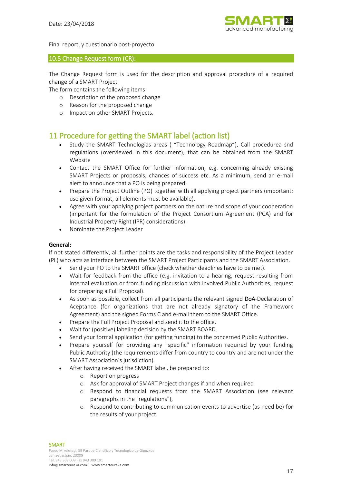

Final report, y cuestionario post-proyecto

#### 10.5 Change Request form (CR):

The Change Request form is used for the description and approval procedure of a required change of a SMART Project.

The form contains the following items:

- o Description of the proposed change
- o Reason for the proposed change
- o Impact on other SMART Projects.

# 11 Procedure for getting the SMART label (action list)

- Study the SMART Technologias areas ( "Technology Roadmap"), Call procedurea snd regulations (overviewed in this document), that can be obtained from the SMART Website
- Contact the SMART Office for further information, e.g. concerning already existing SMART Projects or proposals, chances of success etc. As a minimum, send an e-mail alert to announce that a PO is being prepared.
- Prepare the Project Outline (PO) together with all applying project partners (important: use given format; all elements must be available).
- Agree with your applying project partners on the nature and scope of your cooperation (important for the formulation of the Project Consortium Agreement (PCA) and for Industrial Property Right (IPR) considerations).
- Nominate the Project Leader

#### **General:**

If not stated differently, all further points are the tasks and responsibility of the Project Leader (PL) who acts as interface between the SMART Project Participants and the SMART Association.

- Send your PO to the SMART office (check whether deadlines have to be met).
- Wait for feedback from the office (e.g. invitation to a hearing, request resulting from internal evaluation or from funding discussion with involved Public Authorities, request for preparing a Full Proposal).
- As soon as possible, collect from all participants the relevant signed DoA-Declaration of Aceptance (for organizations that are not already signatory of the Framework Agreement) and the signed Forms C and e-mail them to the SMART Office.
- Prepare the Full Project Proposal and send it to the office.
- Wait for (positive) labeling decision by the SMART BOARD.
- Send your formal application (for getting funding) to the concerned Public Authorities.
- Prepare yourself for providing any "specific" information required by your funding Public Authority (the requirements differ from country to country and are not under the SMART Association's jurisdiction).
- After having received the SMART label, be prepared to:
	- o Report on progress
	- o Ask for approval of SMART Project changes if and when required
	- o Respond to financial requests from the SMART Association (see relevant paragraphs in the "regulations"),
	- o Respond to contributing to communication events to advertise (as need be) for the results of your project.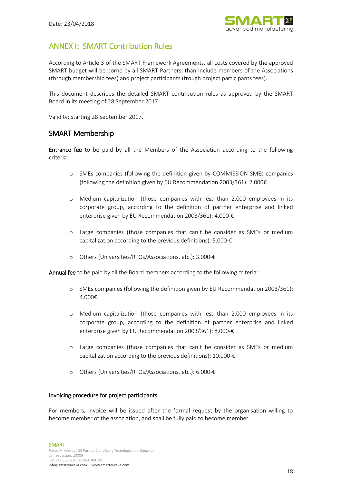

# ANNEX I: SMART Contribution Rules

According to Article 3 of the SMART Framework Agreements, all costs covered by the approved SMART budget will be borne by all SMART Partners, than include members of the Associations (through membership fees) and project participants (trough project participants fees).

This document describes the detailed SMART contribution rules as approved by the SMART Board in its meeting of 28 September 2017.

Validity: starting 28 September 2017.

# SMART Membership

Entrance fee to be paid by all the Members of the Association according to the following criteria:

- o SMEs companies (following the definition given by COMMISSION SMEs companies (following the definition given by EU Recommendation 2003/361): 2.000€
- o Medium capitalization (those companies with less than 2.000 employees in its corporate group, according to the definition of partner enterprise and linked enterprise given by EU Recommendation 2003/361): 4.000-€
- o Large companies (those companies that can't be consider as SMEs or medium capitalization according to the previous definitions):  $5.000-\epsilon$
- o Others (Universities/RTOs/Associations, etc.): 3.000-€

Annual fee to be paid by all the Board members according to the following criteria:

- o SMEs companies (following the definition given by EU Recommendation 2003/361): 4.000€.
- o Medium capitalization (those companies with less than 2.000 employees in its corporate group, according to the definition of partner enterprise and linked enterprise given by EU Recommendation 2003/361): 8.000-€
- o Large companies (those companies that can't be consider as SMEs or medium capitalization according to the previous definitions): 10.000-€
- o Others (Universities/RTOs/Associations, etc.): 6.000-€

#### Invoicing procedure for project participants

For members, invoice will be issued after the formal request by the organisation willing to become member of the association, and shall be fully paid to become member.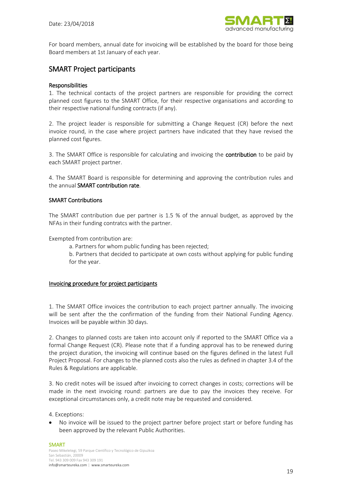

For board members, annual date for invoicing will be established by the board for those being Board members at 1st January of each year.

# SMART Project participants

#### **Responsibilities**

1. The technical contacts of the project partners are responsible for providing the correct planned cost figures to the SMART Office, for their respective organisations and according to their respective national funding contracts (if any).

2. The project leader is responsible for submitting a Change Request (CR) before the next invoice round, in the case where project partners have indicated that they have revised the planned cost figures.

3. The SMART Office is responsible for calculating and invoicing the contribution to be paid by each SMART project partner.

4. The SMART Board is responsible for determining and approving the contribution rules and the annual SMART contribution rate.

#### SMART Contributions

The SMART contribution due per partner is 1.5 % of the annual budget, as approved by the NFAs in their funding contratcs with the partner.

Exempted from contribution are:

a. Partners for whom public funding has been rejected;

b. Partners that decided to participate at own costs without applying for public funding for the year.

#### Invoicing procedure for project participants

1. The SMART Office invoices the contribution to each project partner annually. The invoicing will be sent after the the confirmation of the funding from their National Funding Agency. Invoices will be payable within 30 days.

2. Changes to planned costs are taken into account only if reported to the SMART Office via a formal Change Request (CR). Please note that if a funding approval has to be renewed during the project duration, the invoicing will continue based on the figures defined in the latest Full Project Proposal. For changes to the planned costs also the rules as defined in chapter 3.4 of the Rules & Regulations are applicable.

3. No credit notes will be issued after invoicing to correct changes in costs; corrections will be made in the next invoicing round: partners are due to pay the invoices they receive. For exceptional circumstances only, a credit note may be requested and considered.

4. Exceptions:

• No invoice will be issued to the project partner before project start or before funding has been approved by the relevant Public Authorities.

#### SMART